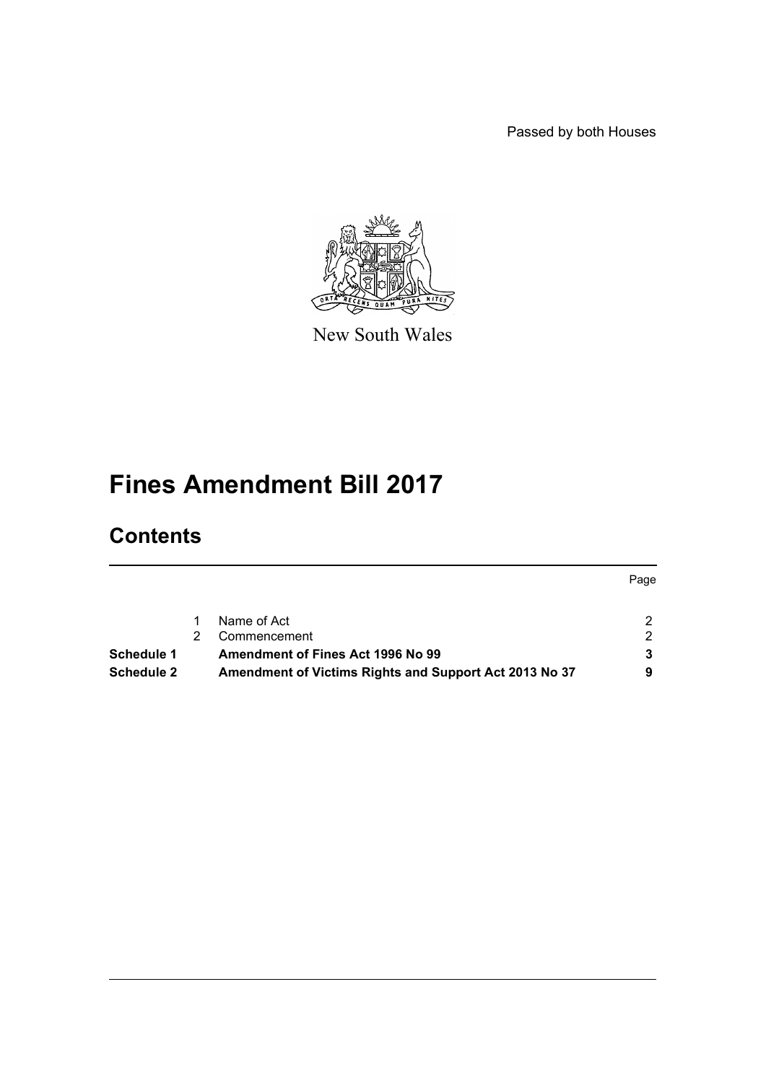Passed by both Houses



New South Wales

# **Fines Amendment Bill 2017**

# **Contents**

|                   |                                                        | Page |
|-------------------|--------------------------------------------------------|------|
|                   | Name of Act                                            |      |
|                   | Commencement                                           |      |
| <b>Schedule 1</b> | Amendment of Fines Act 1996 No 99                      |      |
| Schedule 2        | Amendment of Victims Rights and Support Act 2013 No 37 |      |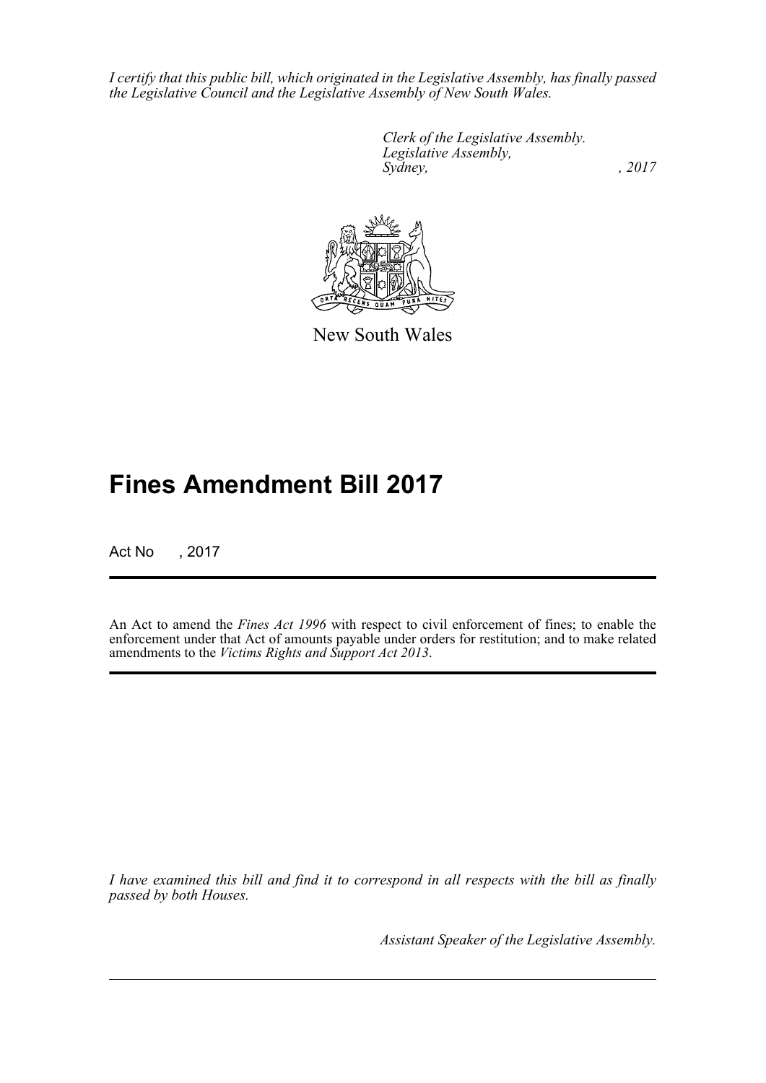*I certify that this public bill, which originated in the Legislative Assembly, has finally passed the Legislative Council and the Legislative Assembly of New South Wales.*

> *Clerk of the Legislative Assembly. Legislative Assembly, Sydney,* , 2017



New South Wales

# **Fines Amendment Bill 2017**

Act No , 2017

An Act to amend the *Fines Act 1996* with respect to civil enforcement of fines; to enable the enforcement under that Act of amounts payable under orders for restitution; and to make related amendments to the *Victims Rights and Support Act 2013*.

*I have examined this bill and find it to correspond in all respects with the bill as finally passed by both Houses.*

*Assistant Speaker of the Legislative Assembly.*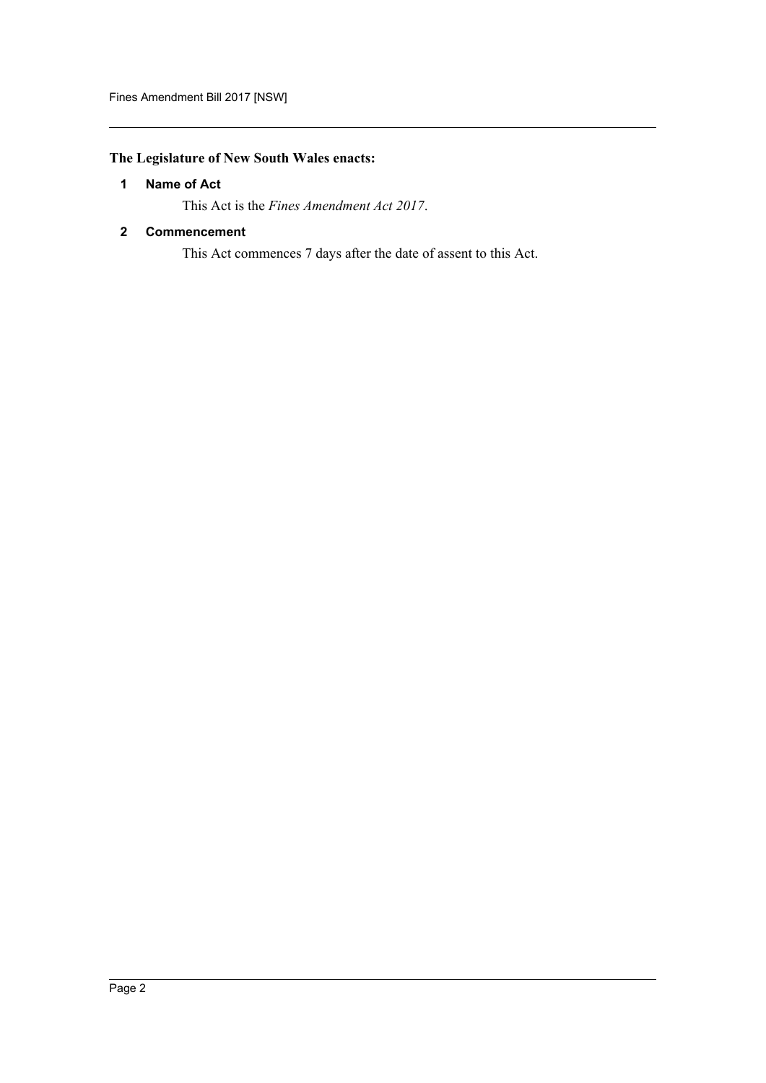# <span id="page-2-0"></span>**The Legislature of New South Wales enacts:**

# **1 Name of Act**

This Act is the *Fines Amendment Act 2017*.

# <span id="page-2-1"></span>**2 Commencement**

This Act commences 7 days after the date of assent to this Act.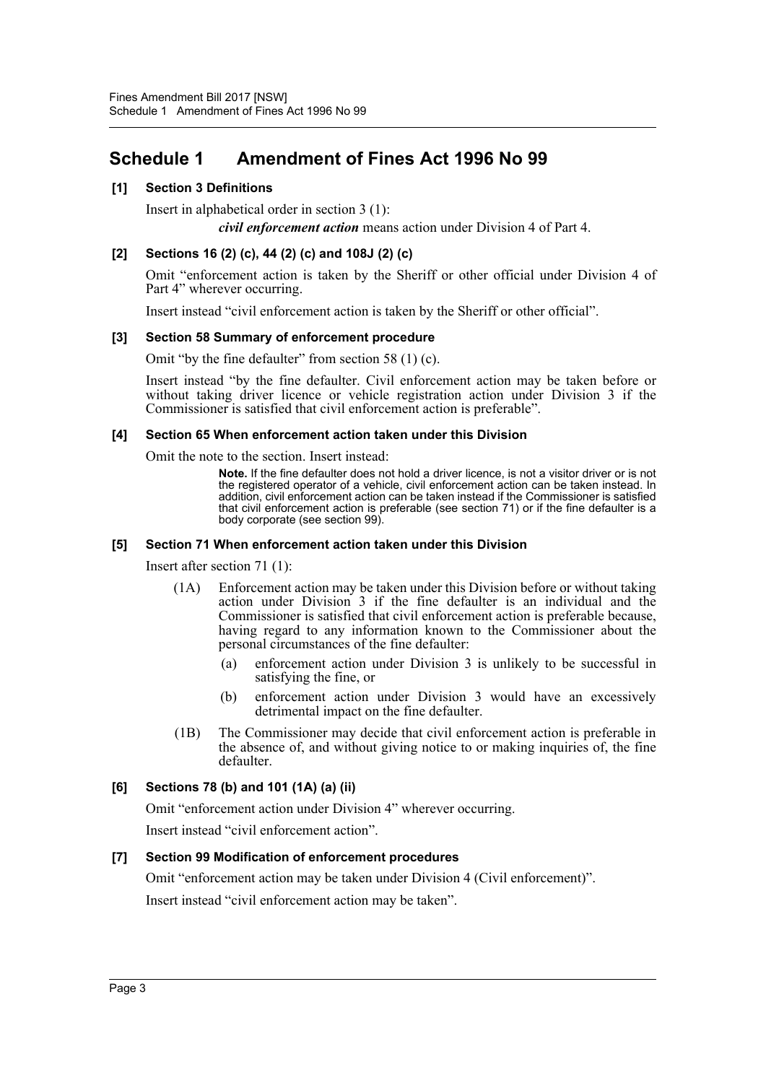# <span id="page-3-0"></span>**Schedule 1 Amendment of Fines Act 1996 No 99**

# **[1] Section 3 Definitions**

Insert in alphabetical order in section 3 (1):

*civil enforcement action* means action under Division 4 of Part 4.

# **[2] Sections 16 (2) (c), 44 (2) (c) and 108J (2) (c)**

Omit "enforcement action is taken by the Sheriff or other official under Division 4 of Part 4" wherever occurring.

Insert instead "civil enforcement action is taken by the Sheriff or other official".

# **[3] Section 58 Summary of enforcement procedure**

Omit "by the fine defaulter" from section 58 (1) (c).

Insert instead "by the fine defaulter. Civil enforcement action may be taken before or without taking driver licence or vehicle registration action under Division 3 if the Commissioner is satisfied that civil enforcement action is preferable".

#### **[4] Section 65 When enforcement action taken under this Division**

Omit the note to the section. Insert instead:

**Note.** If the fine defaulter does not hold a driver licence, is not a visitor driver or is not the registered operator of a vehicle, civil enforcement action can be taken instead. In addition, civil enforcement action can be taken instead if the Commissioner is satisfied that civil enforcement action is preferable (see section 71) or if the fine defaulter is a body corporate (see section 99).

### **[5] Section 71 When enforcement action taken under this Division**

Insert after section 71 (1):

- (1A) Enforcement action may be taken under this Division before or without taking action under Division 3 if the fine defaulter is an individual and the Commissioner is satisfied that civil enforcement action is preferable because, having regard to any information known to the Commissioner about the personal circumstances of the fine defaulter:
	- (a) enforcement action under Division 3 is unlikely to be successful in satisfying the fine, or
	- (b) enforcement action under Division 3 would have an excessively detrimental impact on the fine defaulter.
- (1B) The Commissioner may decide that civil enforcement action is preferable in the absence of, and without giving notice to or making inquiries of, the fine defaulter.

# **[6] Sections 78 (b) and 101 (1A) (a) (ii)**

Omit "enforcement action under Division 4" wherever occurring. Insert instead "civil enforcement action".

# **[7] Section 99 Modification of enforcement procedures**

Omit "enforcement action may be taken under Division 4 (Civil enforcement)". Insert instead "civil enforcement action may be taken".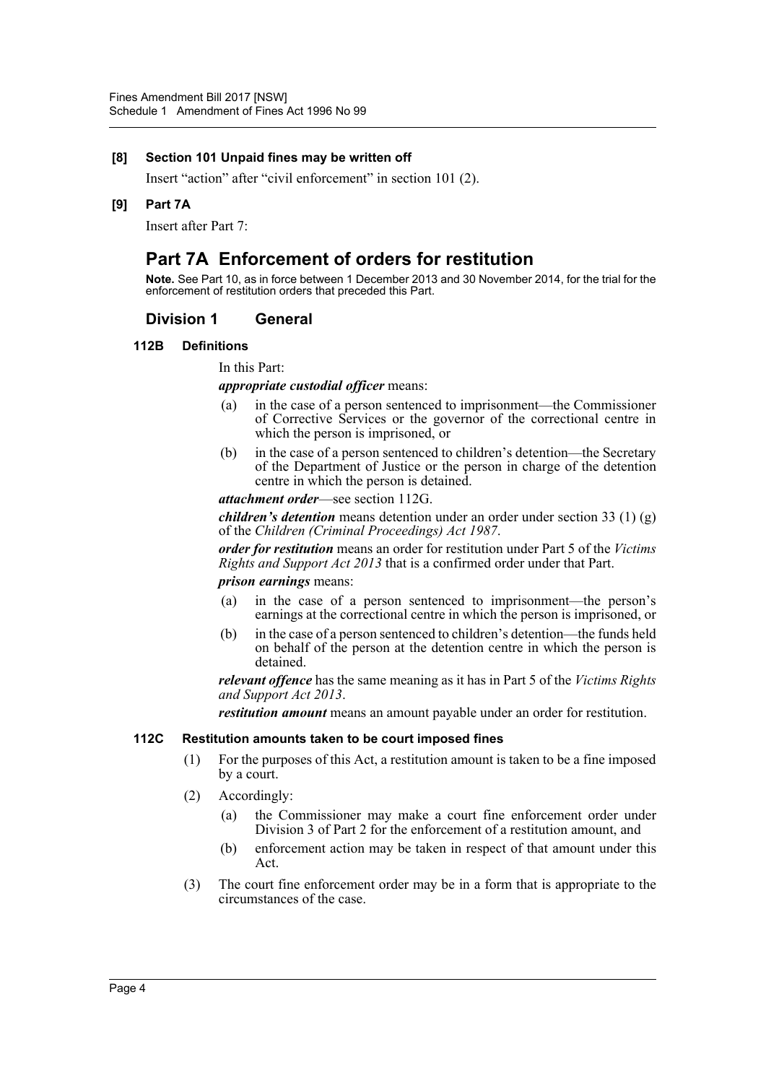#### **[8] Section 101 Unpaid fines may be written off**

Insert "action" after "civil enforcement" in section 101 (2).

#### **[9] Part 7A**

Insert after Part 7:

# **Part 7A Enforcement of orders for restitution**

**Note.** See Part 10, as in force between 1 December 2013 and 30 November 2014, for the trial for the enforcement of restitution orders that preceded this Part.

# **Division 1 General**

#### **112B Definitions**

In this Part:

#### *appropriate custodial officer* means:

- (a) in the case of a person sentenced to imprisonment—the Commissioner of Corrective Services or the governor of the correctional centre in which the person is imprisoned, or
- (b) in the case of a person sentenced to children's detention—the Secretary of the Department of Justice or the person in charge of the detention centre in which the person is detained.

#### *attachment order*—see section 112G.

*children's detention* means detention under an order under section 33 (1) (g) of the *Children (Criminal Proceedings) Act 1987*.

*order for restitution* means an order for restitution under Part 5 of the *Victims Rights and Support Act 2013* that is a confirmed order under that Part.

#### *prison earnings* means:

- (a) in the case of a person sentenced to imprisonment—the person's earnings at the correctional centre in which the person is imprisoned, or
- (b) in the case of a person sentenced to children's detention—the funds held on behalf of the person at the detention centre in which the person is detained.

*relevant offence* has the same meaning as it has in Part 5 of the *Victims Rights and Support Act 2013*.

*restitution amount* means an amount payable under an order for restitution.

#### **112C Restitution amounts taken to be court imposed fines**

- (1) For the purposes of this Act, a restitution amount is taken to be a fine imposed by a court.
- (2) Accordingly:
	- (a) the Commissioner may make a court fine enforcement order under Division 3 of Part 2 for the enforcement of a restitution amount, and
	- (b) enforcement action may be taken in respect of that amount under this Act.
- (3) The court fine enforcement order may be in a form that is appropriate to the circumstances of the case.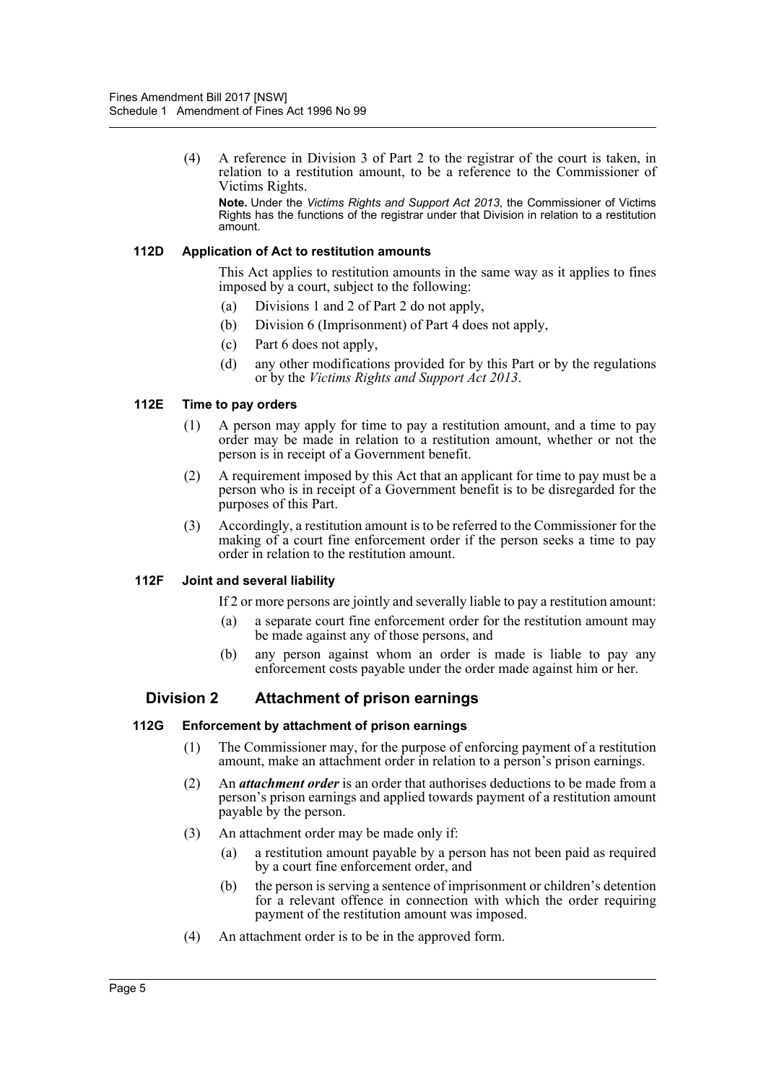(4) A reference in Division 3 of Part 2 to the registrar of the court is taken, in relation to a restitution amount, to be a reference to the Commissioner of Victims Rights.

**Note.** Under the *Victims Rights and Support Act 2013*, the Commissioner of Victims Rights has the functions of the registrar under that Division in relation to a restitution amount.

#### **112D Application of Act to restitution amounts**

This Act applies to restitution amounts in the same way as it applies to fines imposed by a court, subject to the following:

- (a) Divisions 1 and 2 of Part 2 do not apply,
- (b) Division 6 (Imprisonment) of Part 4 does not apply,
- (c) Part 6 does not apply,
- (d) any other modifications provided for by this Part or by the regulations or by the *Victims Rights and Support Act 2013*.

#### **112E Time to pay orders**

- (1) A person may apply for time to pay a restitution amount, and a time to pay order may be made in relation to a restitution amount, whether or not the person is in receipt of a Government benefit.
- (2) A requirement imposed by this Act that an applicant for time to pay must be a person who is in receipt of a Government benefit is to be disregarded for the purposes of this Part.
- (3) Accordingly, a restitution amount is to be referred to the Commissioner for the making of a court fine enforcement order if the person seeks a time to pay order in relation to the restitution amount.

#### **112F Joint and several liability**

If 2 or more persons are jointly and severally liable to pay a restitution amount:

- (a) a separate court fine enforcement order for the restitution amount may be made against any of those persons, and
- (b) any person against whom an order is made is liable to pay any enforcement costs payable under the order made against him or her.

# **Division 2 Attachment of prison earnings**

#### **112G Enforcement by attachment of prison earnings**

- (1) The Commissioner may, for the purpose of enforcing payment of a restitution amount, make an attachment order in relation to a person's prison earnings.
- (2) An *attachment order* is an order that authorises deductions to be made from a person's prison earnings and applied towards payment of a restitution amount payable by the person.
- (3) An attachment order may be made only if:
	- (a) a restitution amount payable by a person has not been paid as required by a court fine enforcement order, and
	- (b) the person is serving a sentence of imprisonment or children's detention for a relevant offence in connection with which the order requiring payment of the restitution amount was imposed.
- (4) An attachment order is to be in the approved form.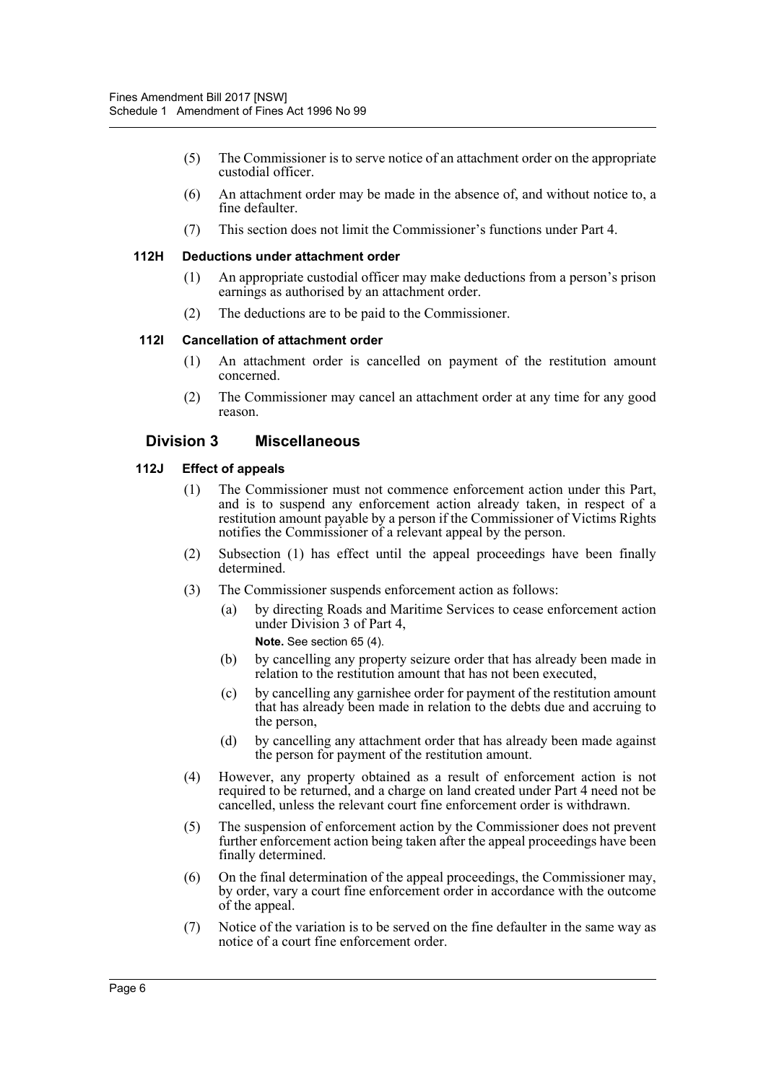- (5) The Commissioner is to serve notice of an attachment order on the appropriate custodial officer.
- (6) An attachment order may be made in the absence of, and without notice to, a fine defaulter.
- (7) This section does not limit the Commissioner's functions under Part 4.

#### **112H Deductions under attachment order**

- (1) An appropriate custodial officer may make deductions from a person's prison earnings as authorised by an attachment order.
- (2) The deductions are to be paid to the Commissioner.

#### **112I Cancellation of attachment order**

- (1) An attachment order is cancelled on payment of the restitution amount concerned.
- (2) The Commissioner may cancel an attachment order at any time for any good reason.

# **Division 3 Miscellaneous**

#### **112J Effect of appeals**

- (1) The Commissioner must not commence enforcement action under this Part, and is to suspend any enforcement action already taken, in respect of a restitution amount payable by a person if the Commissioner of Victims Rights notifies the Commissioner of a relevant appeal by the person.
- (2) Subsection (1) has effect until the appeal proceedings have been finally determined.
- (3) The Commissioner suspends enforcement action as follows:
	- (a) by directing Roads and Maritime Services to cease enforcement action under Division 3 of Part 4,

**Note.** See section 65 (4).

- (b) by cancelling any property seizure order that has already been made in relation to the restitution amount that has not been executed,
- (c) by cancelling any garnishee order for payment of the restitution amount that has already been made in relation to the debts due and accruing to the person,
- (d) by cancelling any attachment order that has already been made against the person for payment of the restitution amount.
- (4) However, any property obtained as a result of enforcement action is not required to be returned, and a charge on land created under Part 4 need not be cancelled, unless the relevant court fine enforcement order is withdrawn.
- (5) The suspension of enforcement action by the Commissioner does not prevent further enforcement action being taken after the appeal proceedings have been finally determined.
- (6) On the final determination of the appeal proceedings, the Commissioner may, by order, vary a court fine enforcement order in accordance with the outcome of the appeal.
- (7) Notice of the variation is to be served on the fine defaulter in the same way as notice of a court fine enforcement order.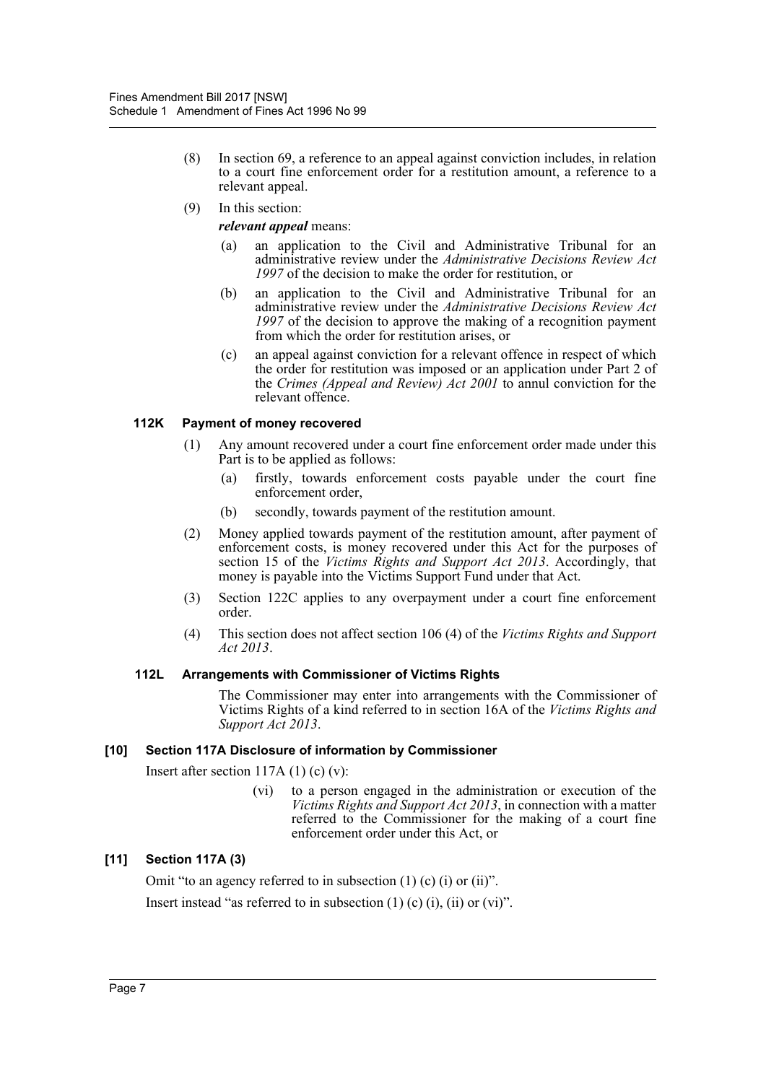- (8) In section 69, a reference to an appeal against conviction includes, in relation to a court fine enforcement order for a restitution amount, a reference to a relevant appeal.
- (9) In this section:

*relevant appeal* means:

- (a) an application to the Civil and Administrative Tribunal for an administrative review under the *Administrative Decisions Review Act 1997* of the decision to make the order for restitution, or
- (b) an application to the Civil and Administrative Tribunal for an administrative review under the *Administrative Decisions Review Act 1997* of the decision to approve the making of a recognition payment from which the order for restitution arises, or
- (c) an appeal against conviction for a relevant offence in respect of which the order for restitution was imposed or an application under Part 2 of the *Crimes (Appeal and Review) Act 2001* to annul conviction for the relevant offence.

# **112K Payment of money recovered**

- (1) Any amount recovered under a court fine enforcement order made under this Part is to be applied as follows:
	- (a) firstly, towards enforcement costs payable under the court fine enforcement order,
	- (b) secondly, towards payment of the restitution amount.
- (2) Money applied towards payment of the restitution amount, after payment of enforcement costs, is money recovered under this Act for the purposes of section 15 of the *Victims Rights and Support Act 2013*. Accordingly, that money is payable into the Victims Support Fund under that Act.
- (3) Section 122C applies to any overpayment under a court fine enforcement order.
- (4) This section does not affect section 106 (4) of the *Victims Rights and Support Act 2013*.

# **112L Arrangements with Commissioner of Victims Rights**

The Commissioner may enter into arrangements with the Commissioner of Victims Rights of a kind referred to in section 16A of the *Victims Rights and Support Act 2013*.

# **[10] Section 117A Disclosure of information by Commissioner**

Insert after section  $117A(1)(c)(v)$ :

(vi) to a person engaged in the administration or execution of the *Victims Rights and Support Act 2013*, in connection with a matter referred to the Commissioner for the making of a court fine enforcement order under this Act, or

# **[11] Section 117A (3)**

Omit "to an agency referred to in subsection (1) (c) (i) or (ii)".

Insert instead "as referred to in subsection  $(1)$   $(c)$   $(i)$ ,  $(ii)$  or  $(vi)$ ".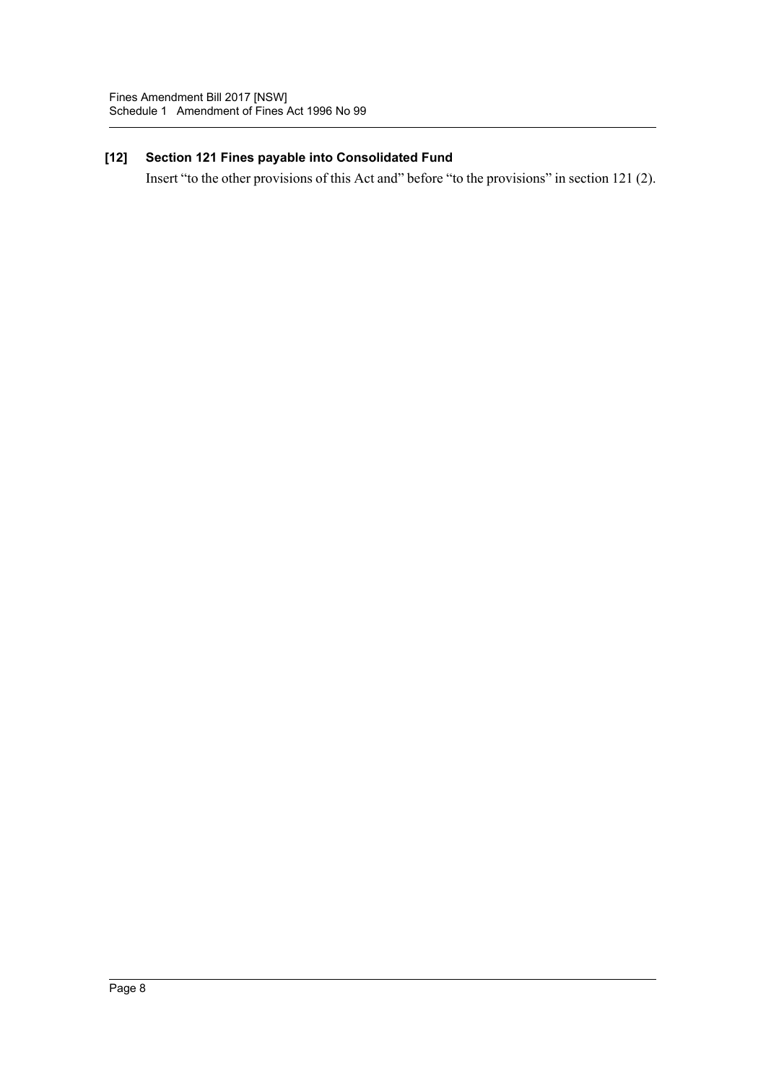# **[12] Section 121 Fines payable into Consolidated Fund**

Insert "to the other provisions of this Act and" before "to the provisions" in section 121 (2).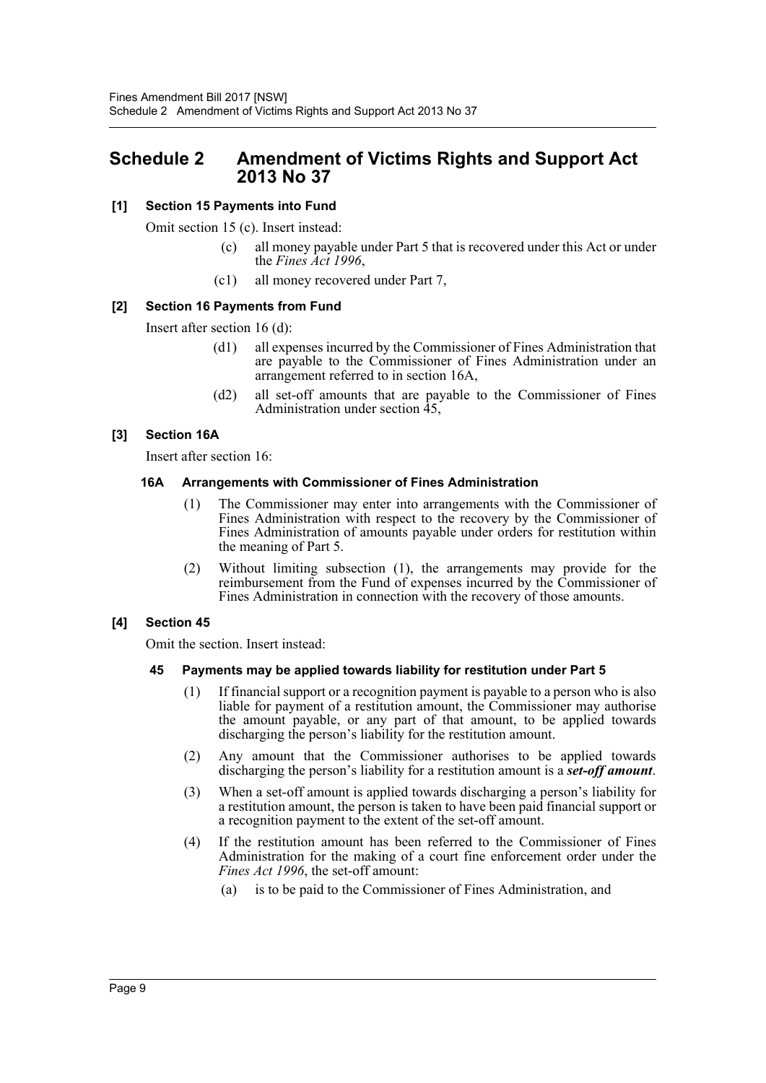# <span id="page-9-0"></span>**Schedule 2 Amendment of Victims Rights and Support Act 2013 No 37**

# **[1] Section 15 Payments into Fund**

Omit section 15 (c). Insert instead:

- (c) all money payable under Part 5 that is recovered under this Act or under the *Fines Act 1996*,
- (c1) all money recovered under Part 7,

#### **[2] Section 16 Payments from Fund**

Insert after section 16 (d):

- (d1) all expenses incurred by the Commissioner of Fines Administration that are payable to the Commissioner of Fines Administration under an arrangement referred to in section 16A,
- (d2) all set-off amounts that are payable to the Commissioner of Fines Administration under section 45,

#### **[3] Section 16A**

Insert after section 16:

#### **16A Arrangements with Commissioner of Fines Administration**

- (1) The Commissioner may enter into arrangements with the Commissioner of Fines Administration with respect to the recovery by the Commissioner of Fines Administration of amounts payable under orders for restitution within the meaning of Part 5.
- (2) Without limiting subsection (1), the arrangements may provide for the reimbursement from the Fund of expenses incurred by the Commissioner of Fines Administration in connection with the recovery of those amounts.

# **[4] Section 45**

Omit the section. Insert instead:

#### **45 Payments may be applied towards liability for restitution under Part 5**

- (1) If financial support or a recognition payment is payable to a person who is also liable for payment of a restitution amount, the Commissioner may authorise the amount payable, or any part of that amount, to be applied towards discharging the person's liability for the restitution amount.
- (2) Any amount that the Commissioner authorises to be applied towards discharging the person's liability for a restitution amount is a *set-off amount*.
- (3) When a set-off amount is applied towards discharging a person's liability for a restitution amount, the person is taken to have been paid financial support or a recognition payment to the extent of the set-off amount.
- (4) If the restitution amount has been referred to the Commissioner of Fines Administration for the making of a court fine enforcement order under the *Fines Act 1996*, the set-off amount:
	- (a) is to be paid to the Commissioner of Fines Administration, and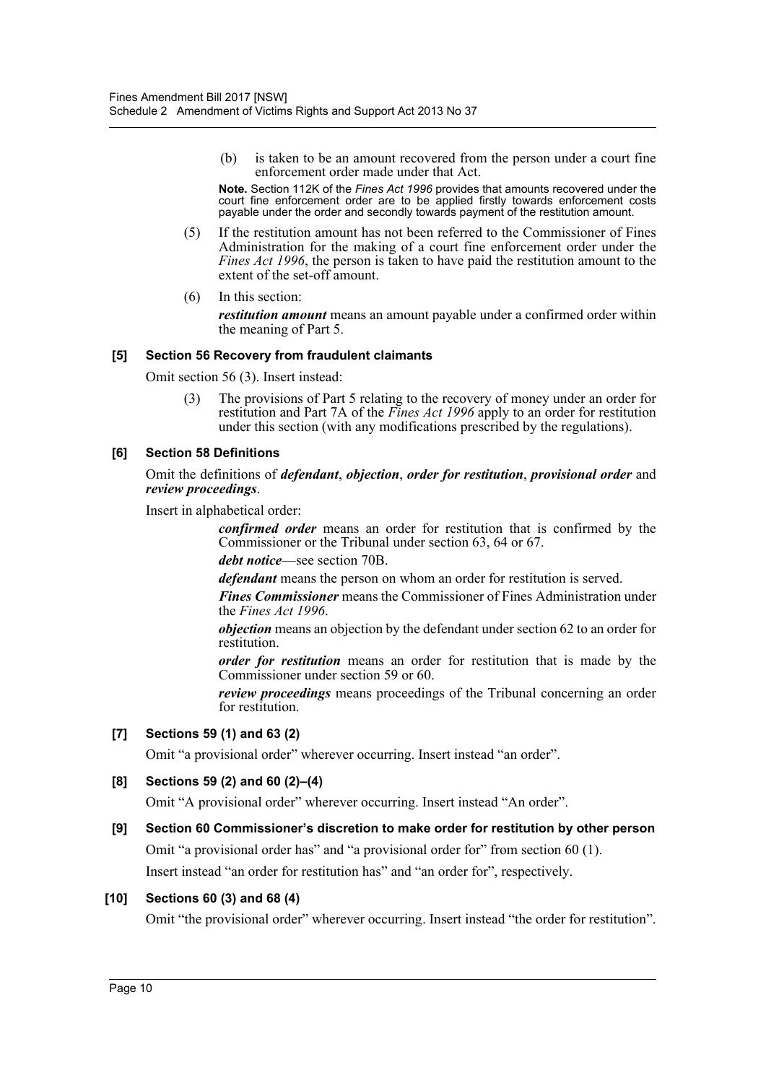(b) is taken to be an amount recovered from the person under a court fine enforcement order made under that Act.

**Note.** Section 112K of the *Fines Act 1996* provides that amounts recovered under the court fine enforcement order are to be applied firstly towards enforcement costs payable under the order and secondly towards payment of the restitution amount.

- (5) If the restitution amount has not been referred to the Commissioner of Fines Administration for the making of a court fine enforcement order under the *Fines Act 1996*, the person is taken to have paid the restitution amount to the extent of the set-off amount.
- (6) In this section:

*restitution amount* means an amount payable under a confirmed order within the meaning of Part 5.

#### **[5] Section 56 Recovery from fraudulent claimants**

Omit section 56 (3). Insert instead:

(3) The provisions of Part 5 relating to the recovery of money under an order for restitution and Part 7A of the *Fines Act 1996* apply to an order for restitution under this section (with any modifications prescribed by the regulations).

#### **[6] Section 58 Definitions**

Omit the definitions of *defendant*, *objection*, *order for restitution*, *provisional order* and *review proceedings*.

Insert in alphabetical order:

*confirmed order* means an order for restitution that is confirmed by the Commissioner or the Tribunal under section 63, 64 or 67.

*debt notice*—see section 70B.

*defendant* means the person on whom an order for restitution is served.

*Fines Commissioner* means the Commissioner of Fines Administration under the *Fines Act 1996*.

*objection* means an objection by the defendant under section 62 to an order for restitution.

*order for restitution* means an order for restitution that is made by the Commissioner under section 59 or 60.

*review proceedings* means proceedings of the Tribunal concerning an order for restitution.

#### **[7] Sections 59 (1) and 63 (2)**

Omit "a provisional order" wherever occurring. Insert instead "an order".

# **[8] Sections 59 (2) and 60 (2)–(4)**

Omit "A provisional order" wherever occurring. Insert instead "An order".

# **[9] Section 60 Commissioner's discretion to make order for restitution by other person** Omit "a provisional order has" and "a provisional order for" from section 60 (1).

Insert instead "an order for restitution has" and "an order for", respectively.

#### **[10] Sections 60 (3) and 68 (4)**

Omit "the provisional order" wherever occurring. Insert instead "the order for restitution".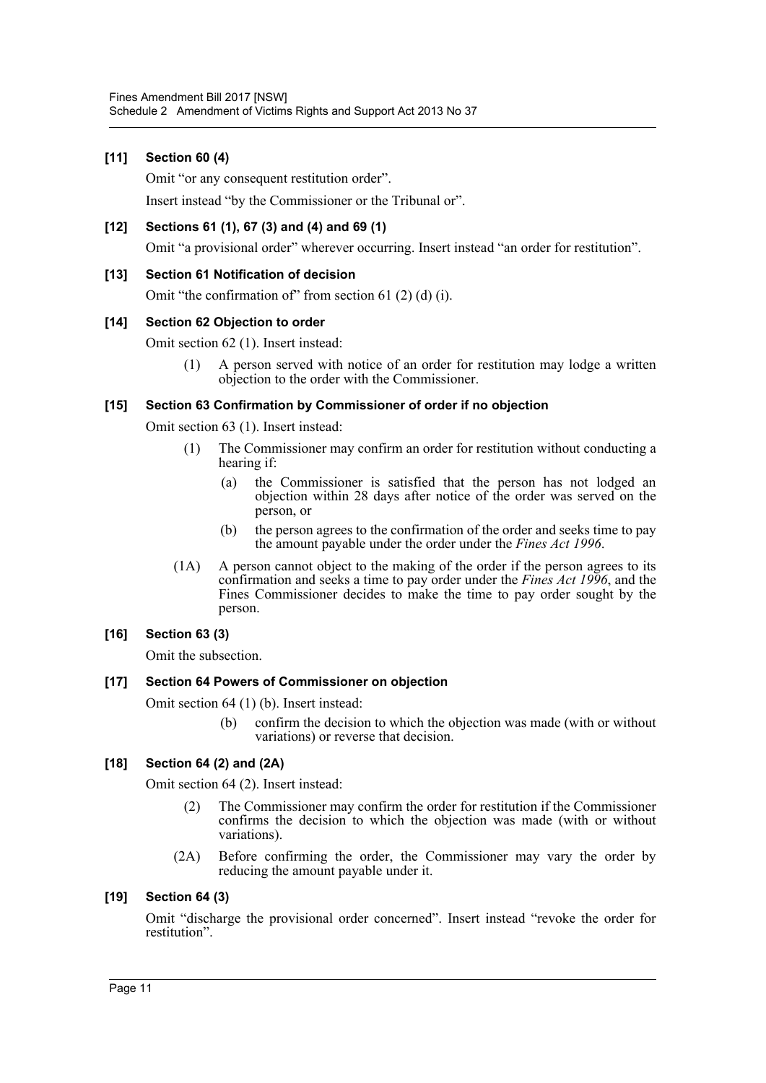# **[11] Section 60 (4)**

Omit "or any consequent restitution order".

Insert instead "by the Commissioner or the Tribunal or".

### **[12] Sections 61 (1), 67 (3) and (4) and 69 (1)**

Omit "a provisional order" wherever occurring. Insert instead "an order for restitution".

#### **[13] Section 61 Notification of decision**

Omit "the confirmation of" from section  $61(2)(d)(i)$ .

#### **[14] Section 62 Objection to order**

Omit section 62 (1). Insert instead:

(1) A person served with notice of an order for restitution may lodge a written objection to the order with the Commissioner.

#### **[15] Section 63 Confirmation by Commissioner of order if no objection**

Omit section 63 (1). Insert instead:

- (1) The Commissioner may confirm an order for restitution without conducting a hearing if:
	- (a) the Commissioner is satisfied that the person has not lodged an objection within 28 days after notice of the order was served on the person, or
	- (b) the person agrees to the confirmation of the order and seeks time to pay the amount payable under the order under the *Fines Act 1996*.
- (1A) A person cannot object to the making of the order if the person agrees to its confirmation and seeks a time to pay order under the *Fines Act 1996*, and the Fines Commissioner decides to make the time to pay order sought by the person.

#### **[16] Section 63 (3)**

Omit the subsection.

#### **[17] Section 64 Powers of Commissioner on objection**

Omit section 64 (1) (b). Insert instead:

(b) confirm the decision to which the objection was made (with or without variations) or reverse that decision.

# **[18] Section 64 (2) and (2A)**

Omit section 64 (2). Insert instead:

- (2) The Commissioner may confirm the order for restitution if the Commissioner confirms the decision to which the objection was made (with or without variations).
- (2A) Before confirming the order, the Commissioner may vary the order by reducing the amount payable under it.

#### **[19] Section 64 (3)**

Omit "discharge the provisional order concerned". Insert instead "revoke the order for restitution".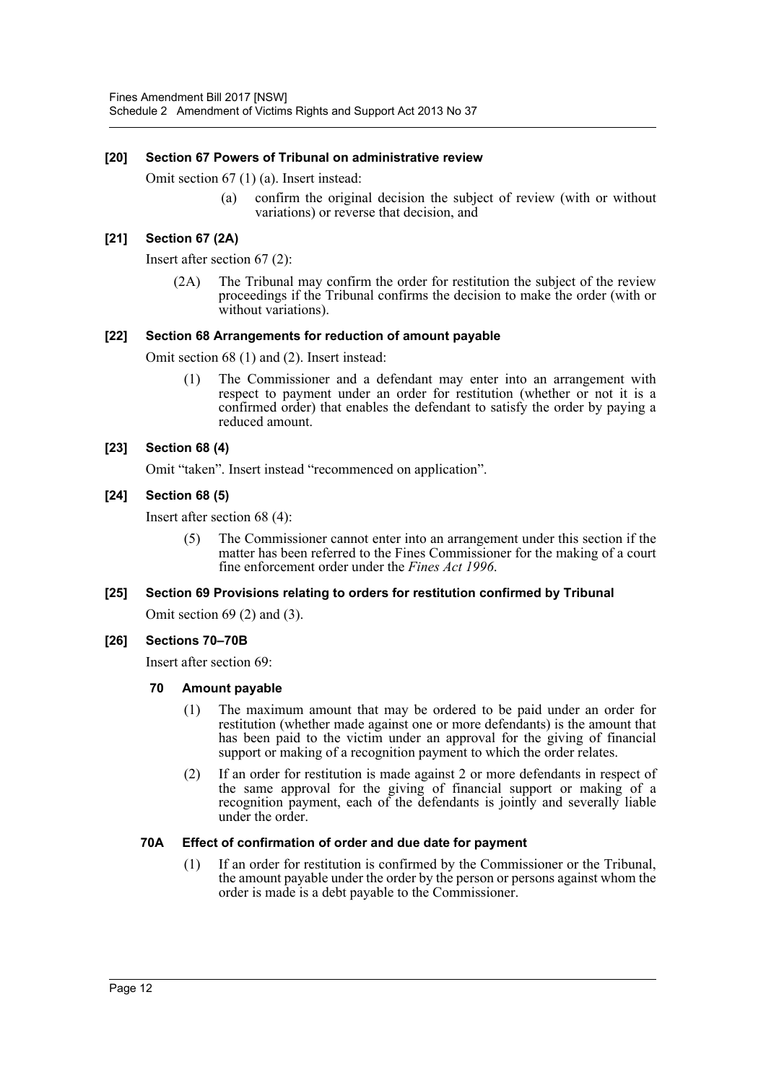#### **[20] Section 67 Powers of Tribunal on administrative review**

Omit section 67 (1) (a). Insert instead:

(a) confirm the original decision the subject of review (with or without variations) or reverse that decision, and

#### **[21] Section 67 (2A)**

Insert after section 67 (2):

(2A) The Tribunal may confirm the order for restitution the subject of the review proceedings if the Tribunal confirms the decision to make the order (with or without variations).

#### **[22] Section 68 Arrangements for reduction of amount payable**

Omit section 68 (1) and (2). Insert instead:

(1) The Commissioner and a defendant may enter into an arrangement with respect to payment under an order for restitution (whether or not it is a confirmed order) that enables the defendant to satisfy the order by paying a reduced amount.

#### **[23] Section 68 (4)**

Omit "taken". Insert instead "recommenced on application".

#### **[24] Section 68 (5)**

Insert after section 68 (4):

(5) The Commissioner cannot enter into an arrangement under this section if the matter has been referred to the Fines Commissioner for the making of a court fine enforcement order under the *Fines Act 1996*.

#### **[25] Section 69 Provisions relating to orders for restitution confirmed by Tribunal**

Omit section 69 (2) and (3).

#### **[26] Sections 70–70B**

Insert after section 69:

#### **70 Amount payable**

- (1) The maximum amount that may be ordered to be paid under an order for restitution (whether made against one or more defendants) is the amount that has been paid to the victim under an approval for the giving of financial support or making of a recognition payment to which the order relates.
- (2) If an order for restitution is made against 2 or more defendants in respect of the same approval for the giving of financial support or making of a recognition payment, each of the defendants is jointly and severally liable under the order.

#### **70A Effect of confirmation of order and due date for payment**

(1) If an order for restitution is confirmed by the Commissioner or the Tribunal, the amount payable under the order by the person or persons against whom the order is made is a debt payable to the Commissioner.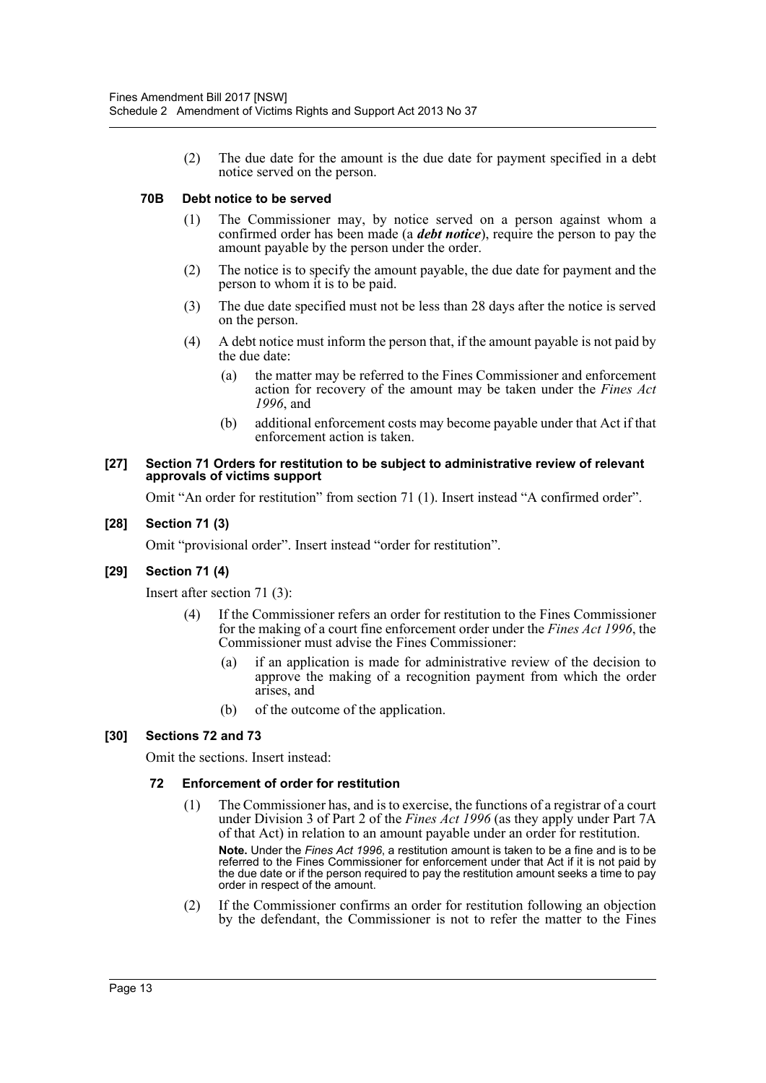(2) The due date for the amount is the due date for payment specified in a debt notice served on the person.

### **70B Debt notice to be served**

- (1) The Commissioner may, by notice served on a person against whom a confirmed order has been made (a *debt notice*), require the person to pay the amount payable by the person under the order.
- (2) The notice is to specify the amount payable, the due date for payment and the person to whom it is to be paid.
- (3) The due date specified must not be less than 28 days after the notice is served on the person.
- (4) A debt notice must inform the person that, if the amount payable is not paid by the due date:
	- (a) the matter may be referred to the Fines Commissioner and enforcement action for recovery of the amount may be taken under the *Fines Act 1996*, and
	- (b) additional enforcement costs may become payable under that Act if that enforcement action is taken.

#### **[27] Section 71 Orders for restitution to be subject to administrative review of relevant approvals of victims support**

Omit "An order for restitution" from section 71 (1). Insert instead "A confirmed order".

#### **[28] Section 71 (3)**

Omit "provisional order". Insert instead "order for restitution".

# **[29] Section 71 (4)**

Insert after section 71 (3):

- (4) If the Commissioner refers an order for restitution to the Fines Commissioner for the making of a court fine enforcement order under the *Fines Act 1996*, the Commissioner must advise the Fines Commissioner:
	- (a) if an application is made for administrative review of the decision to approve the making of a recognition payment from which the order arises, and
	- (b) of the outcome of the application.

# **[30] Sections 72 and 73**

Omit the sections. Insert instead:

# **72 Enforcement of order for restitution**

(1) The Commissioner has, and is to exercise, the functions of a registrar of a court under Division 3 of Part 2 of the *Fines Act 1996* (as they apply under Part 7A of that Act) in relation to an amount payable under an order for restitution.

**Note.** Under the *Fines Act 1996*, a restitution amount is taken to be a fine and is to be referred to the Fines Commissioner for enforcement under that Act if it is not paid by the due date or if the person required to pay the restitution amount seeks a time to pay order in respect of the amount.

(2) If the Commissioner confirms an order for restitution following an objection by the defendant, the Commissioner is not to refer the matter to the Fines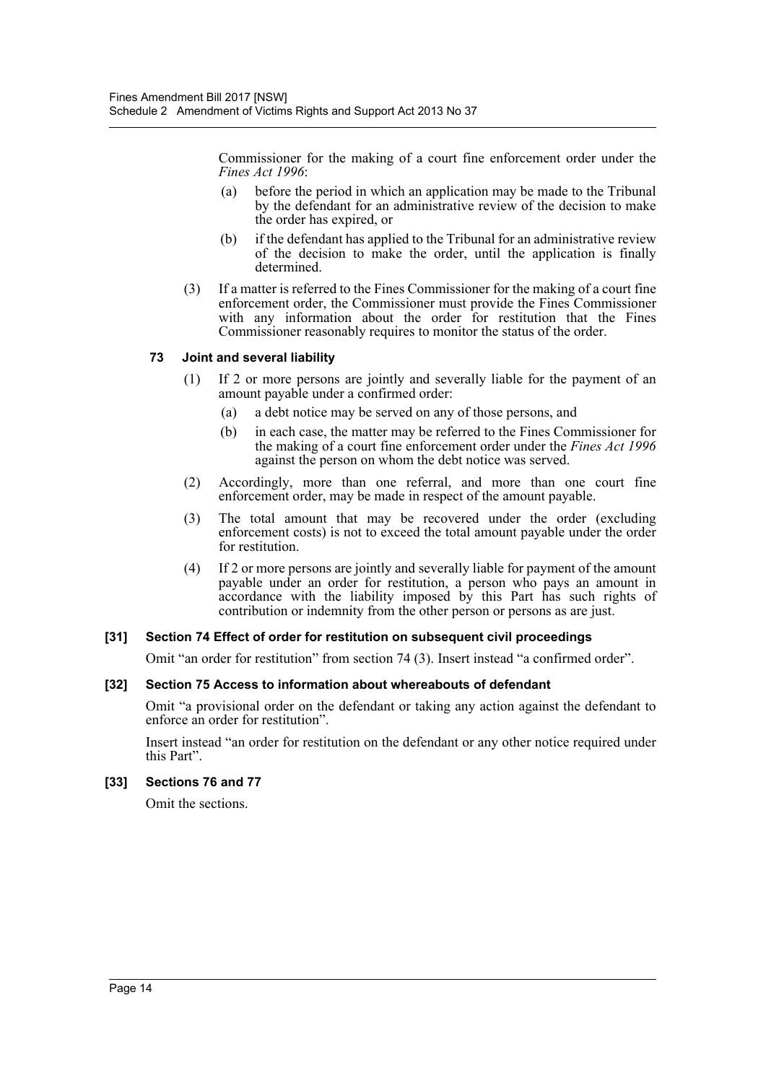Commissioner for the making of a court fine enforcement order under the *Fines Act 1996*:

- (a) before the period in which an application may be made to the Tribunal by the defendant for an administrative review of the decision to make the order has expired, or
- (b) if the defendant has applied to the Tribunal for an administrative review of the decision to make the order, until the application is finally determined.
- (3) If a matter is referred to the Fines Commissioner for the making of a court fine enforcement order, the Commissioner must provide the Fines Commissioner with any information about the order for restitution that the Fines Commissioner reasonably requires to monitor the status of the order.

#### **73 Joint and several liability**

- (1) If 2 or more persons are jointly and severally liable for the payment of an amount payable under a confirmed order:
	- (a) a debt notice may be served on any of those persons, and
	- (b) in each case, the matter may be referred to the Fines Commissioner for the making of a court fine enforcement order under the *Fines Act 1996* against the person on whom the debt notice was served.
- (2) Accordingly, more than one referral, and more than one court fine enforcement order, may be made in respect of the amount payable.
- (3) The total amount that may be recovered under the order (excluding enforcement costs) is not to exceed the total amount payable under the order for restitution.
- (4) If 2 or more persons are jointly and severally liable for payment of the amount payable under an order for restitution, a person who pays an amount in accordance with the liability imposed by this Part has such rights of contribution or indemnity from the other person or persons as are just.

# **[31] Section 74 Effect of order for restitution on subsequent civil proceedings**

Omit "an order for restitution" from section 74 (3). Insert instead "a confirmed order".

# **[32] Section 75 Access to information about whereabouts of defendant**

Omit "a provisional order on the defendant or taking any action against the defendant to enforce an order for restitution".

Insert instead "an order for restitution on the defendant or any other notice required under this Part".

# **[33] Sections 76 and 77**

Omit the sections.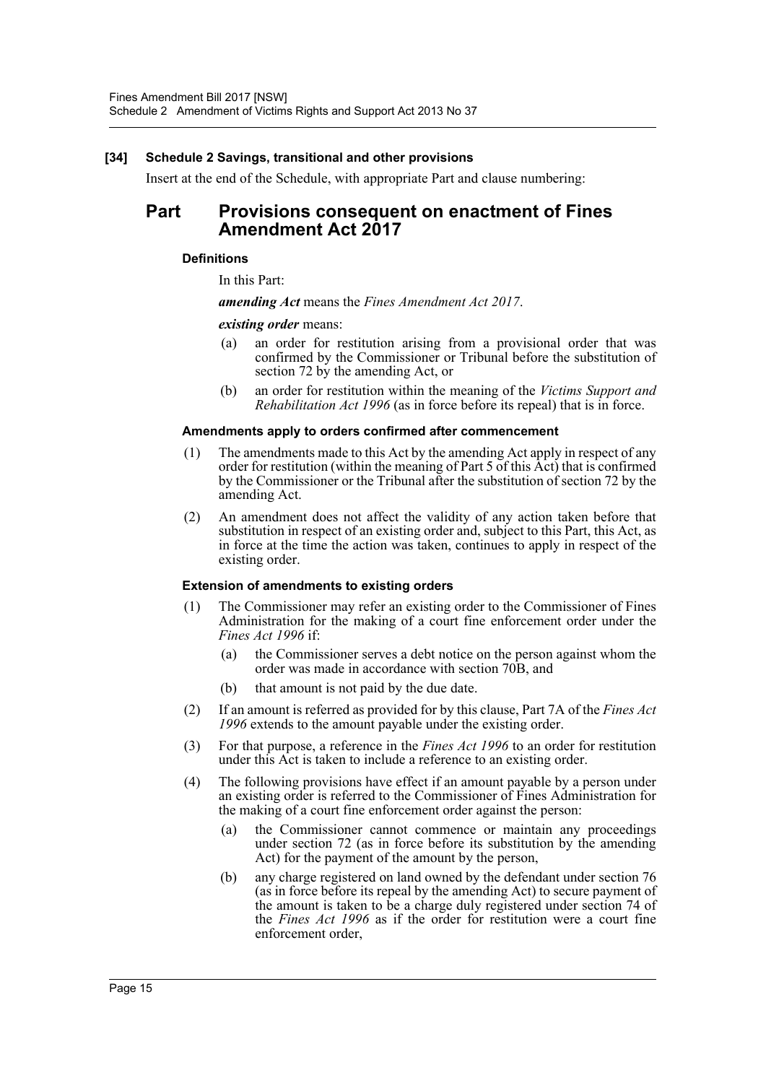#### **[34] Schedule 2 Savings, transitional and other provisions**

Insert at the end of the Schedule, with appropriate Part and clause numbering:

# **Part Provisions consequent on enactment of Fines Amendment Act 2017**

#### **Definitions**

In this Part:

*amending Act* means the *Fines Amendment Act 2017*.

*existing order* means:

- (a) an order for restitution arising from a provisional order that was confirmed by the Commissioner or Tribunal before the substitution of section 72 by the amending Act, or
- (b) an order for restitution within the meaning of the *Victims Support and Rehabilitation Act 1996* (as in force before its repeal) that is in force.

#### **Amendments apply to orders confirmed after commencement**

- (1) The amendments made to this Act by the amending Act apply in respect of any order for restitution (within the meaning of Part 5 of this Act) that is confirmed by the Commissioner or the Tribunal after the substitution of section 72 by the amending Act.
- (2) An amendment does not affect the validity of any action taken before that substitution in respect of an existing order and, subject to this Part, this Act, as in force at the time the action was taken, continues to apply in respect of the existing order.

#### **Extension of amendments to existing orders**

- (1) The Commissioner may refer an existing order to the Commissioner of Fines Administration for the making of a court fine enforcement order under the *Fines Act 1996* if:
	- (a) the Commissioner serves a debt notice on the person against whom the order was made in accordance with section 70B, and
	- (b) that amount is not paid by the due date.
- (2) If an amount is referred as provided for by this clause, Part 7A of the *Fines Act 1996* extends to the amount payable under the existing order.
- (3) For that purpose, a reference in the *Fines Act 1996* to an order for restitution under this Act is taken to include a reference to an existing order.
- (4) The following provisions have effect if an amount payable by a person under an existing order is referred to the Commissioner of Fines Administration for the making of a court fine enforcement order against the person:
	- (a) the Commissioner cannot commence or maintain any proceedings under section 72 (as in force before its substitution by the amending Act) for the payment of the amount by the person,
	- (b) any charge registered on land owned by the defendant under section 76 (as in force before its repeal by the amending Act) to secure payment of the amount is taken to be a charge duly registered under section 74 of the *Fines Act 1996* as if the order for restitution were a court fine enforcement order,